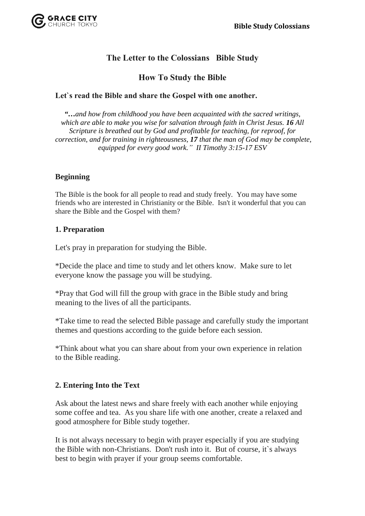

## **The Letter to the Colossians Bible Study**

## **How To Study the Bible**

### **Let`s read the Bible and share the Gospel with one another.**

*"…and how from childhood you have been acquainted with the sacred writings, which are able to make you wise for salvation through faith in Christ Jesus. 16 All Scripture is breathed out by God and profitable for teaching, for reproof, for correction, and for training in righteousness, 17 that the man of God may be complete, equipped for every good work." II Timothy 3:15-17 ESV*

### **Beginning**

The Bible is the book for all people to read and study freely. You may have some friends who are interested in Christianity or the Bible. Isn't it wonderful that you can share the Bible and the Gospel with them?

#### **1. Preparation**

Let's pray in preparation for studying the Bible.

\*Decide the place and time to study and let others know. Make sure to let everyone know the passage you will be studying.

\*Pray that God will fill the group with grace in the Bible study and bring meaning to the lives of all the participants.

\*Take time to read the selected Bible passage and carefully study the important themes and questions according to the guide before each session.

\*Think about what you can share about from your own experience in relation to the Bible reading.

#### **2. Entering Into the Text**

Ask about the latest news and share freely with each another while enjoying some coffee and tea. As you share life with one another, create a relaxed and good atmosphere for Bible study together.

It is not always necessary to begin with prayer especially if you are studying the Bible with non-Christians. Don't rush into it. But of course, it`s always best to begin with prayer if your group seems comfortable.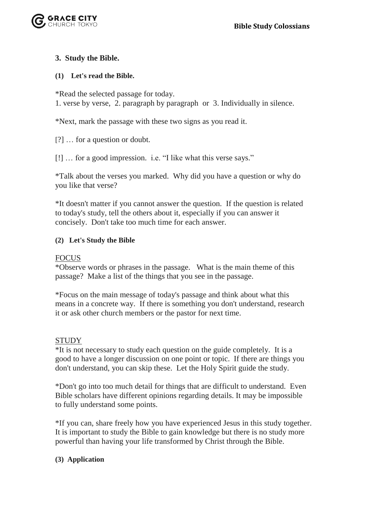

### **3. Study the Bible.**

### **(1) Let's read the Bible.**

\*Read the selected passage for today.

1. verse by verse, 2. paragraph by paragraph or 3. Individually in silence.

\*Next, mark the passage with these two signs as you read it.

[?] … for a question or doubt.

[!] … for a good impression. i.e. "I like what this verse says."

\*Talk about the verses you marked. Why did you have a question or why do you like that verse?

\*It doesn't matter if you cannot answer the question. If the question is related to today's study, tell the others about it, especially if you can answer it concisely. Don't take too much time for each answer.

### **(2) Let's Study the Bible**

### FOCUS

\*Observe words or phrases in the passage. What is the main theme of this passage? Make a list of the things that you see in the passage.

\*Focus on the main message of today's passage and think about what this means in a concrete way. If there is something you don't understand, research it or ask other church members or the pastor for next time.

### **STUDY**

\*It is not necessary to study each question on the guide completely. It is a good to have a longer discussion on one point or topic. If there are things you don't understand, you can skip these. Let the Holy Spirit guide the study.

\*Don't go into too much detail for things that are difficult to understand. Even Bible scholars have different opinions regarding details. It may be impossible to fully understand some points.

\*If you can, share freely how you have experienced Jesus in this study together. It is important to study the Bible to gain knowledge but there is no study more powerful than having your life transformed by Christ through the Bible.

#### **(3) Application**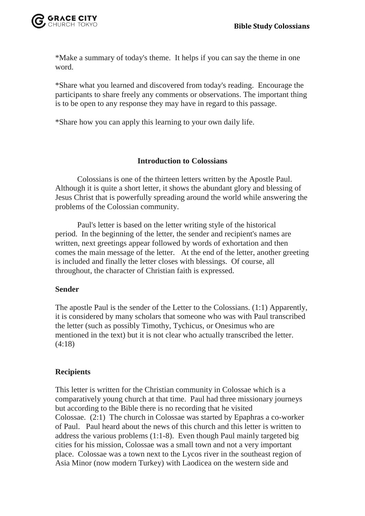

\*Make a summary of today's theme. It helps if you can say the theme in one word.

\*Share what you learned and discovered from today's reading. Encourage the participants to share freely any comments or observations. The important thing is to be open to any response they may have in regard to this passage.

\*Share how you can apply this learning to your own daily life.

### **Introduction to Colossians**

Colossians is one of the thirteen letters written by the Apostle Paul. Although it is quite a short letter, it shows the abundant glory and blessing of Jesus Christ that is powerfully spreading around the world while answering the problems of the Colossian community.

Paul's letter is based on the letter writing style of the historical period. In the beginning of the letter, the sender and recipient's names are written, next greetings appear followed by words of exhortation and then comes the main message of the letter. At the end of the letter, another greeting is included and finally the letter closes with blessings. Of course, all throughout, the character of Christian faith is expressed.

#### **Sender**

The apostle Paul is the sender of the Letter to the Colossians. (1:1) Apparently, it is considered by many scholars that someone who was with Paul transcribed the letter (such as possibly Timothy, Tychicus, or Onesimus who are mentioned in the text) but it is not clear who actually transcribed the letter. (4:18)

### **Recipients**

This letter is written for the Christian community in Colossae which is a comparatively young church at that time. Paul had three missionary journeys but according to the Bible there is no recording that he visited Colossae. (2:1) The church in Colossae was started by Epaphras a co-worker of Paul. Paul heard about the news of this church and this letter is written to address the various problems (1:1-8). Even though Paul mainly targeted big cities for his mission, Colossae was a small town and not a very important place. Colossae was a town next to the Lycos river in the southeast region of Asia Minor (now modern Turkey) with Laodicea on the western side and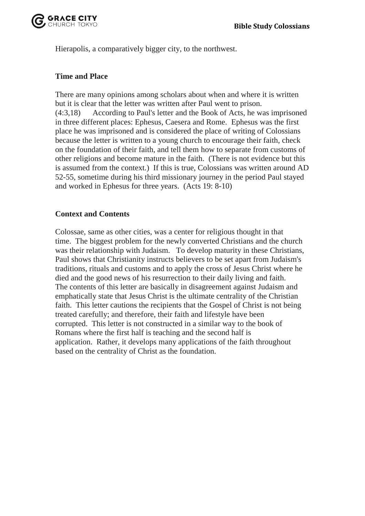

Hierapolis, a comparatively bigger city, to the northwest.

### **Time and Place**

There are many opinions among scholars about when and where it is written but it is clear that the letter was written after Paul went to prison. (4:3,18) According to Paul's letter and the Book of Acts, he was imprisoned in three different places: Ephesus, Caesera and Rome. Ephesus was the first place he was imprisoned and is considered the place of writing of Colossians because the letter is written to a young church to encourage their faith, check on the foundation of their faith, and tell them how to separate from customs of other religions and become mature in the faith. (There is not evidence but this is assumed from the context.) If this is true, Colossians was written around AD 52-55, sometime during his third missionary journey in the period Paul stayed and worked in Ephesus for three years. (Acts 19: 8-10)

### **Context and Contents**

Colossae, same as other cities, was a center for religious thought in that time. The biggest problem for the newly converted Christians and the church was their relationship with Judaism. To develop maturity in these Christians, Paul shows that Christianity instructs believers to be set apart from Judaism's traditions, rituals and customs and to apply the cross of Jesus Christ where he died and the good news of his resurrection to their daily living and faith. The contents of this letter are basically in disagreement against Judaism and emphatically state that Jesus Christ is the ultimate centrality of the Christian faith. This letter cautions the recipients that the Gospel of Christ is not being treated carefully; and therefore, their faith and lifestyle have been corrupted. This letter is not constructed in a similar way to the book of Romans where the first half is teaching and the second half is application. Rather, it develops many applications of the faith throughout based on the centrality of Christ as the foundation.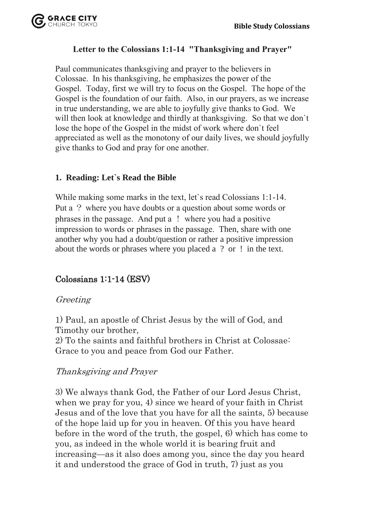

## **Letter to the Colossians 1:1-14 "Thanksgiving and Prayer"**

Paul communicates thanksgiving and prayer to the believers in Colossae. In his thanksgiving, he emphasizes the power of the Gospel. Today, first we will try to focus on the Gospel. The hope of the Gospel is the foundation of our faith. Also, in our prayers, as we increase in true understanding, we are able to joyfully give thanks to God. We will then look at knowledge and thirdly at thanksgiving. So that we don't lose the hope of the Gospel in the midst of work where don`t feel appreciated as well as the monotony of our daily lives, we should joyfully give thanks to God and pray for one another.

## **1. Reading: Let`s Read the Bible**

While making some marks in the text, let`s read Colossians 1:1-14. Put a ? where you have doubts or a question about some words or phrases in the passage. And put a ! where you had a positive impression to words or phrases in the passage. Then, share with one another why you had a doubt/question or rather a positive impression about the words or phrases where you placed a ? or ! in the text.

# Colossians 1:1-14 (ESV)

## Greeting

1) Paul, an apostle of Christ Jesus by the will of God, and Timothy our brother,

2) To the saints and faithful brothers in Christ at Colossae: Grace to you and peace from God our Father.

## Thanksgiving and Prayer

3) We always thank God, the Father of our Lord Jesus Christ, when we pray for you, 4) since we heard of your faith in Christ Jesus and of the love that you have for all the saints, 5) because of the hope laid up for you in heaven. Of this you have heard before in the word of the truth, the gospel, 6) which has come to you, as indeed in the whole world it is bearing fruit and increasing—as it also does among you, since the day you heard it and understood the grace of God in truth, 7) just as you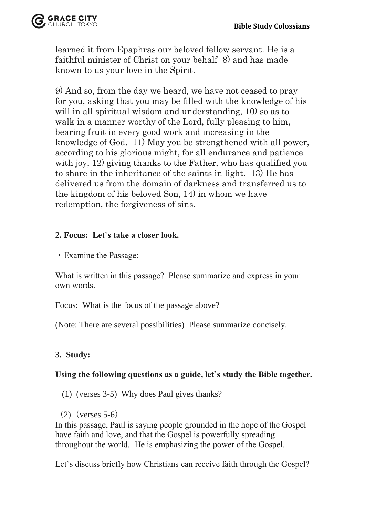

learned it from Epaphras our beloved fellow servant. He is a faithful minister of Christ on your behalf 8) and has made known to us your love in the Spirit.

9) And so, from the day we heard, we have not ceased to pray for you, asking that you may be filled with the knowledge of his will in all spiritual wisdom and understanding, 10) so as to walk in a manner worthy of the Lord, fully pleasing to him, bearing fruit in every good work and increasing in the knowledge of God. 11) May you be strengthened with all power, according to his glorious might, for all endurance and patience with joy, 12) giving thanks to the Father, who has qualified you to share in the inheritance of the saints in light. 13) He has delivered us from the domain of darkness and transferred us to the kingdom of his beloved Son, 14) in whom we have redemption, the forgiveness of sins.

## **2. Focus: Let`s take a closer look.**

・Examine the Passage:

What is written in this passage? Please summarize and express in your own words.

Focus: What is the focus of the passage above?

(Note: There are several possibilities) Please summarize concisely.

# **3. Study:**

## **Using the following questions as a guide, let`s study the Bible together.**

(1) (verses 3-5) Why does Paul gives thanks?

 $(2)$  (verses 5-6)

In this passage, Paul is saying people grounded in the hope of the Gospel have faith and love, and that the Gospel is powerfully spreading throughout the world. He is emphasizing the power of the Gospel.

Let`s discuss briefly how Christians can receive faith through the Gospel?